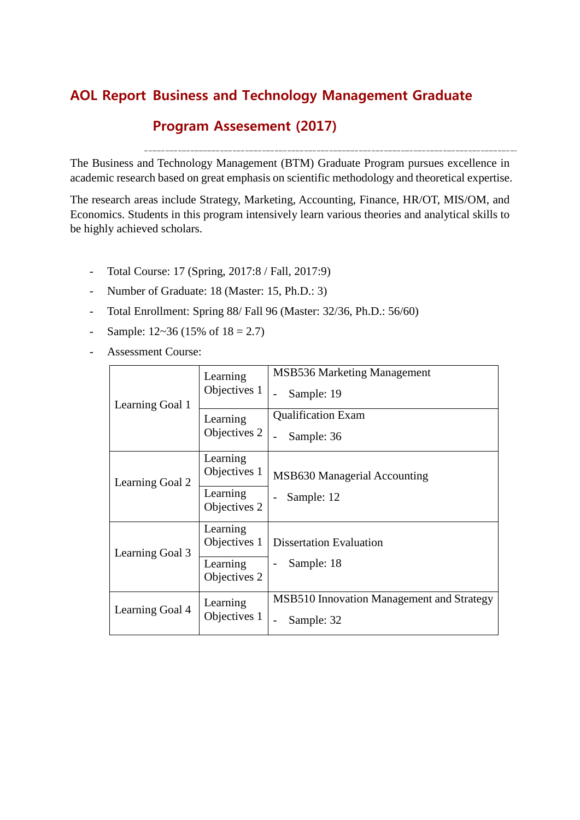# **Business and Technology Management Graduate AOL Report**

## **Program Assesement (2017)**

The Business and Technology Management (BTM) Graduate Program pursues excellence in academic research based on great emphasis on scientific methodology and theoretical expertise.

The research areas include Strategy, Marketing, Accounting, Finance, HR/OT, MIS/OM, and Economics. Students in this program intensively learn various theories and analytical skills to be highly achieved scholars.

- Total Course: 17 (Spring, 2017:8 / Fall, 2017:9)
- Number of Graduate: 18 (Master: 15, Ph.D.: 3)
- Total Enrollment: Spring 88/ Fall 96 (Master: 32/36, Ph.D.: 56/60)
- Sample:  $12 \times 36$  (15% of  $18 = 2.7$ )
- Assessment Course:

| Learning Goal 1 | Learning<br>Objectives 1 | <b>MSB536 Marketing Management</b><br>Sample: 19        |  |  |  |  |
|-----------------|--------------------------|---------------------------------------------------------|--|--|--|--|
|                 | Learning<br>Objectives 2 | <b>Qualification Exam</b><br>Sample: 36                 |  |  |  |  |
| Learning Goal 2 | Learning<br>Objectives 1 | MSB630 Managerial Accounting                            |  |  |  |  |
|                 | Learning<br>Objectives 2 | Sample: 12                                              |  |  |  |  |
| Learning Goal 3 | Learning<br>Objectives 1 | <b>Dissertation Evaluation</b>                          |  |  |  |  |
|                 | Learning<br>Objectives 2 | Sample: 18                                              |  |  |  |  |
| Learning Goal 4 | Learning<br>Objectives 1 | MSB510 Innovation Management and Strategy<br>Sample: 32 |  |  |  |  |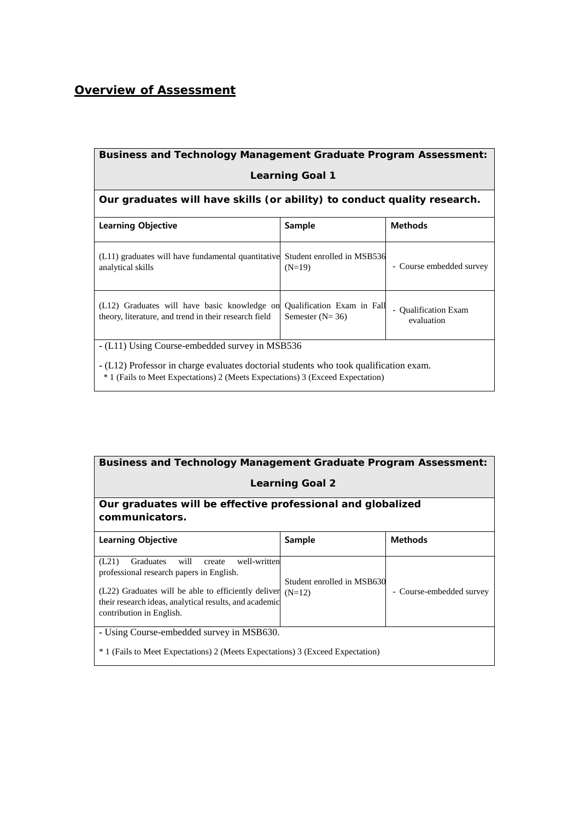### *Overview of Assessment*

| <b>Business and Technology Management Graduate Program Assessment:</b>                                                                                                             |                                                 |                                         |  |  |  |  |  |  |  |
|------------------------------------------------------------------------------------------------------------------------------------------------------------------------------------|-------------------------------------------------|-----------------------------------------|--|--|--|--|--|--|--|
| <b>Learning Goal 1</b>                                                                                                                                                             |                                                 |                                         |  |  |  |  |  |  |  |
| Our graduates will have skills (or ability) to conduct quality research.                                                                                                           |                                                 |                                         |  |  |  |  |  |  |  |
| <b>Learning Objective</b>                                                                                                                                                          | Sample                                          | <b>Methods</b>                          |  |  |  |  |  |  |  |
| (L11) graduates will have fundamental quantitative Student enrolled in MSB536<br>analytical skills                                                                                 | $(N=19)$                                        | - Course embedded survey                |  |  |  |  |  |  |  |
| (L12) Graduates will have basic knowledge on<br>theory, literature, and trend in their research field                                                                              | Qualification Exam in Fall<br>Semester $(N=36)$ | <b>Qualification Exam</b><br>evaluation |  |  |  |  |  |  |  |
| - (L11) Using Course-embedded survey in MSB536                                                                                                                                     |                                                 |                                         |  |  |  |  |  |  |  |
| - (L12) Professor in charge evaluates doctorial students who took qualification exam.<br><sup>*</sup> 1 (Fails to Meet Expectations) 2 (Meets Expectations) 3 (Exceed Expectation) |                                                 |                                         |  |  |  |  |  |  |  |

| <b>Business and Technology Management Graduate Program Assessment:</b>                                                                                                                                                                     |                                        |                          |  |  |  |  |  |  |
|--------------------------------------------------------------------------------------------------------------------------------------------------------------------------------------------------------------------------------------------|----------------------------------------|--------------------------|--|--|--|--|--|--|
| <b>Learning Goal 2</b>                                                                                                                                                                                                                     |                                        |                          |  |  |  |  |  |  |
| Our graduates will be effective professional and globalized<br>communicators.                                                                                                                                                              |                                        |                          |  |  |  |  |  |  |
| <b>Learning Objective</b>                                                                                                                                                                                                                  | Sample                                 | <b>Methods</b>           |  |  |  |  |  |  |
| (L21)<br>will create<br>well-written<br>Graduates<br>professional research papers in English.<br>(L22) Graduates will be able to efficiently deliver<br>their research ideas, analytical results, and academic<br>contribution in English. | Student enrolled in MSB630<br>$(N=12)$ | - Course-embedded survey |  |  |  |  |  |  |
| - Using Course-embedded survey in MSB630.<br><sup>*</sup> 1 (Fails to Meet Expectations) 2 (Meets Expectations) 3 (Exceed Expectation)                                                                                                     |                                        |                          |  |  |  |  |  |  |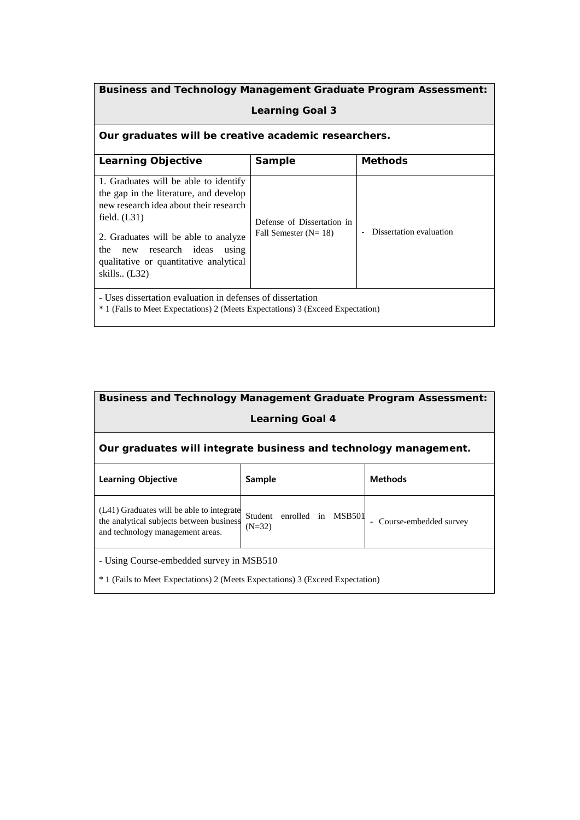| <b>Business and Technology Management Graduate Program Assessment:</b>                                                                                                                                                                                                                 |                                                      |                         |  |  |  |  |  |  |
|----------------------------------------------------------------------------------------------------------------------------------------------------------------------------------------------------------------------------------------------------------------------------------------|------------------------------------------------------|-------------------------|--|--|--|--|--|--|
| <b>Learning Goal 3</b>                                                                                                                                                                                                                                                                 |                                                      |                         |  |  |  |  |  |  |
| Our graduates will be creative academic researchers.                                                                                                                                                                                                                                   |                                                      |                         |  |  |  |  |  |  |
| Sample<br><b>Methods</b><br>Learning Objective                                                                                                                                                                                                                                         |                                                      |                         |  |  |  |  |  |  |
| 1. Graduates will be able to identify<br>the gap in the literature, and develop<br>new research idea about their research<br>field. $(L31)$<br>2. Graduates will be able to analyze<br>research ideas<br>the<br>using<br>new<br>qualitative or quantitative analytical<br>skills (L32) | Defense of Dissertation in<br>Fall Semester $(N=18)$ | Dissertation evaluation |  |  |  |  |  |  |
| - Uses dissertation evaluation in defenses of dissertation<br><sup>*</sup> 1 (Fails to Meet Expectations) 2 (Meets Expectations) 3 (Exceed Expectation)                                                                                                                                |                                                      |                         |  |  |  |  |  |  |

| <b>Business and Technology Management Graduate Program Assessment:</b>                                                                                                                                                       |  |  |  |  |  |  |  |  |
|------------------------------------------------------------------------------------------------------------------------------------------------------------------------------------------------------------------------------|--|--|--|--|--|--|--|--|
| <b>Learning Goal 4</b>                                                                                                                                                                                                       |  |  |  |  |  |  |  |  |
| Our graduates will integrate business and technology management.                                                                                                                                                             |  |  |  |  |  |  |  |  |
| <b>Methods</b><br><b>Learning Objective</b><br>Sample                                                                                                                                                                        |  |  |  |  |  |  |  |  |
| (L41) Graduates will be able to integrate<br>Student<br>enrolled in MSB501<br>the analytical subjects between business<br>Course-embedded survey<br>$\overline{\phantom{a}}$<br>$(N=32)$<br>and technology management areas. |  |  |  |  |  |  |  |  |
| - Using Course-embedded survey in MSB510<br><sup>*</sup> 1 (Fails to Meet Expectations) 2 (Meets Expectations) 3 (Exceed Expectation)                                                                                        |  |  |  |  |  |  |  |  |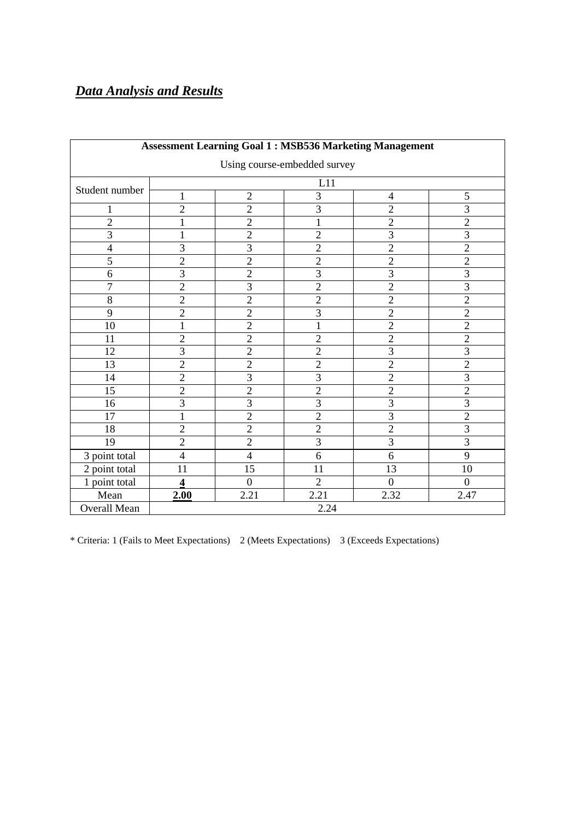# *Data Analysis and Results*

| <b>Assessment Learning Goal 1: MSB536 Marketing Management</b> |                         |                                                                      |                |                |                  |  |  |  |  |
|----------------------------------------------------------------|-------------------------|----------------------------------------------------------------------|----------------|----------------|------------------|--|--|--|--|
| Using course-embedded survey                                   |                         |                                                                      |                |                |                  |  |  |  |  |
|                                                                | L11                     |                                                                      |                |                |                  |  |  |  |  |
| Student number                                                 | $\mathbf{1}$            | $\mathfrak{Z}$<br>$\overline{2}$<br>$\mathfrak{S}$<br>$\overline{4}$ |                |                |                  |  |  |  |  |
| $\mathbf{1}$                                                   | $\overline{2}$          | $\overline{2}$                                                       | $\overline{3}$ | $\overline{2}$ | $\overline{3}$   |  |  |  |  |
| $\overline{2}$                                                 | 1                       | $\overline{2}$                                                       | $\mathbf{1}$   | $\overline{2}$ | $\overline{2}$   |  |  |  |  |
| $\overline{3}$                                                 | $\mathbf 1$             | $\overline{2}$                                                       | $\overline{c}$ | $\overline{3}$ | $\overline{3}$   |  |  |  |  |
| $\overline{4}$                                                 | 3                       | $\overline{3}$                                                       | $\overline{2}$ | $\overline{2}$ | $\overline{2}$   |  |  |  |  |
| $\overline{5}$                                                 | $\overline{2}$          | $\overline{2}$                                                       | $\overline{2}$ | $\overline{2}$ | $\overline{2}$   |  |  |  |  |
| 6                                                              | $\overline{3}$          | $\overline{2}$                                                       | 3              | 3              | 3                |  |  |  |  |
| $\overline{7}$                                                 | $\overline{2}$          | $\overline{3}$                                                       | $\overline{2}$ | $\overline{2}$ | $\overline{3}$   |  |  |  |  |
| 8                                                              | $\overline{2}$          | $\overline{2}$                                                       | $\overline{2}$ | $\overline{2}$ | $\overline{2}$   |  |  |  |  |
| 9                                                              | $\overline{2}$          | $\overline{2}$                                                       | $\overline{3}$ | $\overline{2}$ | $\overline{2}$   |  |  |  |  |
| 10                                                             | $\mathbf{1}$            | $\overline{2}$                                                       | $\mathbf{1}$   | $\overline{2}$ | $\overline{2}$   |  |  |  |  |
| 11                                                             | $\overline{c}$          | $\overline{2}$                                                       | $\overline{c}$ | $\overline{2}$ | $\overline{2}$   |  |  |  |  |
| 12                                                             | $\overline{3}$          | $\overline{2}$                                                       | $\overline{2}$ | $\overline{3}$ | $\overline{3}$   |  |  |  |  |
| 13                                                             | $\overline{2}$          | $\overline{2}$                                                       | $\overline{2}$ | $\overline{2}$ | $\overline{2}$   |  |  |  |  |
| 14                                                             | $\overline{2}$          | $\overline{3}$                                                       | $\overline{3}$ | $\overline{2}$ | $\overline{3}$   |  |  |  |  |
| 15                                                             | $\overline{2}$          | $\overline{2}$                                                       | $\overline{2}$ | $\overline{2}$ | $\overline{2}$   |  |  |  |  |
| 16                                                             | $\overline{3}$          | $\overline{3}$                                                       | $\overline{3}$ | $\overline{3}$ | $\overline{3}$   |  |  |  |  |
| 17                                                             | $\mathbf 1$             | $\overline{2}$                                                       | $\overline{2}$ | $\overline{3}$ | $\overline{2}$   |  |  |  |  |
| 18                                                             | $\overline{2}$          | $\overline{2}$                                                       | $\overline{2}$ | $\overline{2}$ | $\overline{3}$   |  |  |  |  |
| 19                                                             | $\overline{2}$          | $\overline{2}$                                                       | $\overline{3}$ | $\overline{3}$ | $\overline{3}$   |  |  |  |  |
| 3 point total                                                  | $\overline{\mathbf{4}}$ | $\overline{4}$                                                       | 6              | 6              | 9                |  |  |  |  |
| $\overline{2}$ point total                                     | 11                      | 15                                                                   | 11             | 13             | 10               |  |  |  |  |
| 1 point total                                                  | 4                       | $\boldsymbol{0}$                                                     | $\overline{2}$ | $\mathbf{0}$   | $\boldsymbol{0}$ |  |  |  |  |
| Mean                                                           | 2.00                    | 2.21                                                                 | 2.21           | 2.32           | 2.47             |  |  |  |  |
| Overall Mean                                                   |                         |                                                                      | 2.24           |                |                  |  |  |  |  |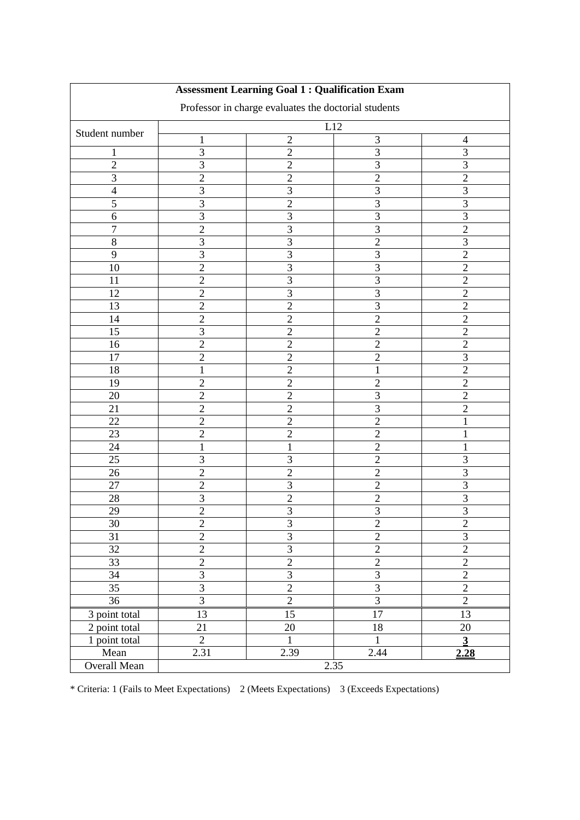|                            |                         | <b>Assessment Learning Goal 1 : Qualification Exam</b> |                   |                |  |  |  |  |  |  |
|----------------------------|-------------------------|--------------------------------------------------------|-------------------|----------------|--|--|--|--|--|--|
|                            |                         | Professor in charge evaluates the doctorial students   |                   |                |  |  |  |  |  |  |
|                            | L12                     |                                                        |                   |                |  |  |  |  |  |  |
| Student number             | $\mathbf{1}$            | $\mathbf{2}$                                           | $\mathfrak{Z}$    | 4              |  |  |  |  |  |  |
| 1                          | $\mathfrak{Z}$          | $\overline{2}$                                         | $\overline{3}$    | 3              |  |  |  |  |  |  |
| $\overline{2}$             | $\overline{3}$          | $\overline{2}$                                         | 3                 | $\overline{3}$ |  |  |  |  |  |  |
| 3                          | $\overline{2}$          | $\mathfrak{2}$                                         | $\overline{c}$    | $\overline{2}$ |  |  |  |  |  |  |
| $\overline{4}$             | 3                       | 3                                                      | 3                 | 3              |  |  |  |  |  |  |
| 5                          | $\overline{3}$          | $\overline{2}$                                         | $\overline{3}$    | $\overline{3}$ |  |  |  |  |  |  |
| $\sqrt{6}$                 | $\overline{3}$          | 3                                                      | $\overline{3}$    | $\overline{3}$ |  |  |  |  |  |  |
| 7                          | $\overline{c}$          | 3                                                      | $\overline{3}$    | $\overline{2}$ |  |  |  |  |  |  |
| 8                          | $\mathfrak{Z}$          | 3                                                      | $\overline{2}$    | $\mathfrak{Z}$ |  |  |  |  |  |  |
| 9                          | 3                       | 3                                                      | 3                 | $\overline{2}$ |  |  |  |  |  |  |
| 10                         | $\overline{2}$          | 3                                                      | $\overline{3}$    | $\overline{2}$ |  |  |  |  |  |  |
| 11                         | $\overline{c}$          | 3                                                      | $\overline{3}$    | $\overline{2}$ |  |  |  |  |  |  |
| 12                         | $\overline{c}$          | 3                                                      | $\mathfrak{Z}$    | $\overline{2}$ |  |  |  |  |  |  |
| 13                         | $\overline{2}$          | $\overline{2}$                                         | $\overline{3}$    | $\overline{2}$ |  |  |  |  |  |  |
| 14                         | $\overline{2}$          | $\overline{2}$                                         | $\overline{2}$    | $\overline{2}$ |  |  |  |  |  |  |
| $\overline{15}$            | 3                       | $\overline{c}$                                         | $\overline{c}$    | $\overline{c}$ |  |  |  |  |  |  |
| 16                         | $\overline{2}$          | $\sqrt{2}$                                             | $\overline{c}$    | $\overline{c}$ |  |  |  |  |  |  |
| 17                         | $\overline{c}$          | $\overline{2}$                                         | $\overline{c}$    | 3              |  |  |  |  |  |  |
| 18                         | $\mathbf{1}$            | $\overline{2}$                                         | $\mathbf{1}$      | $\overline{2}$ |  |  |  |  |  |  |
| 19                         | $\overline{2}$          | $\overline{2}$                                         | $\mathfrak{2}$    | $\overline{2}$ |  |  |  |  |  |  |
| 20                         | $\overline{c}$          | $\overline{2}$                                         | $\overline{3}$    | $\overline{2}$ |  |  |  |  |  |  |
| 21                         | $\overline{2}$          | $\overline{2}$                                         | $\overline{3}$    | $\overline{2}$ |  |  |  |  |  |  |
| 22                         | $\overline{c}$          | $\overline{2}$                                         | $\overline{2}$    | 1              |  |  |  |  |  |  |
| 23                         | $\overline{2}$          | $\overline{2}$                                         | $\overline{c}$    | 1              |  |  |  |  |  |  |
| 24                         | $\mathbf{1}$            | 1                                                      | $\overline{2}$    | 1              |  |  |  |  |  |  |
| 25                         | 3                       | 3                                                      | $\overline{2}$    | 3              |  |  |  |  |  |  |
| 26                         | $\overline{c}$          | $\overline{2}$                                         | $\overline{c}$    | 3              |  |  |  |  |  |  |
| 27                         | $\overline{c}$          | 3                                                      | $\overline{c}$    | $\overline{3}$ |  |  |  |  |  |  |
| 28                         | 3                       | $\overline{2}$                                         | $\overline{c}$    | 3              |  |  |  |  |  |  |
| 29                         | $\overline{2}$          | 3                                                      | 3                 | 3              |  |  |  |  |  |  |
| 30                         | $\boldsymbol{2}$        | $\mathfrak{Z}$                                         | $\boldsymbol{2}$  | $\overline{c}$ |  |  |  |  |  |  |
| $\overline{31}$            | $\overline{2}$          | $\overline{3}$                                         | $\overline{2}$    | $\overline{3}$ |  |  |  |  |  |  |
| $\overline{32}$            | $\overline{2}$          | $\overline{3}$                                         | $\frac{2}{2}$     | $\overline{2}$ |  |  |  |  |  |  |
| $\overline{33}$            | $\overline{2}$          | $\overline{2}$                                         |                   | $\overline{2}$ |  |  |  |  |  |  |
| 34                         | $\overline{\mathbf{3}}$ | $\overline{3}$                                         | $\overline{3}$    | $\overline{2}$ |  |  |  |  |  |  |
| $\overline{35}$            | $\overline{3}$          | $\overline{2}$                                         | $\overline{3}$    | $\overline{2}$ |  |  |  |  |  |  |
| $\overline{36}$            | $\overline{3}$          | $\overline{2}$                                         | $\overline{3}$    | $\overline{2}$ |  |  |  |  |  |  |
| $\overline{3}$ point total | 13                      | 15                                                     | 17                | 13             |  |  |  |  |  |  |
| 2 point total              | 21                      | 20                                                     | 18                | 20             |  |  |  |  |  |  |
| 1 point total              | $\overline{2}$          | $\mathbf{1}$                                           | $\mathbf{1}$      | $\overline{3}$ |  |  |  |  |  |  |
| Mean                       | 2.31                    | 2.39                                                   | $\overline{2.44}$ | 2.28           |  |  |  |  |  |  |
| Overall Mean               | 2.35                    |                                                        |                   |                |  |  |  |  |  |  |

÷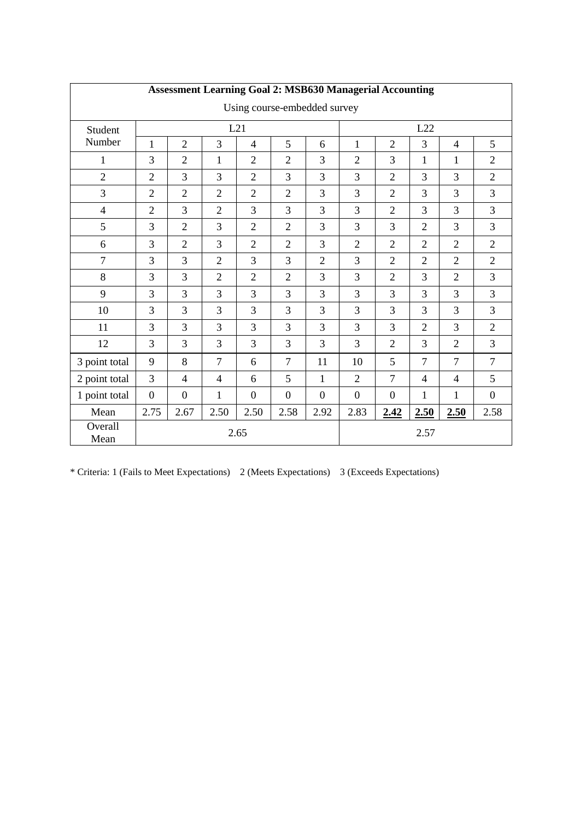| <b>Assessment Learning Goal 2: MSB630 Managerial Accounting</b> |                  |                          |                |                |                |                |                  |                  |                |                |                  |
|-----------------------------------------------------------------|------------------|--------------------------|----------------|----------------|----------------|----------------|------------------|------------------|----------------|----------------|------------------|
| Using course-embedded survey                                    |                  |                          |                |                |                |                |                  |                  |                |                |                  |
| Student                                                         |                  |                          |                | L21            |                |                |                  |                  | L22            |                |                  |
| Number                                                          | $\mathbf{1}$     | $\overline{2}$           | 3              | $\overline{4}$ | 5              | 6              | $\mathbf{1}$     | $\overline{2}$   | 3              | $\overline{4}$ | 5                |
| 1                                                               | 3                | $\overline{2}$           | $\mathbf{1}$   | $\overline{2}$ | $\overline{2}$ | 3              | $\overline{2}$   | 3                | $\mathbf{1}$   | 1              | $\overline{2}$   |
| $\sqrt{2}$                                                      | $\overline{2}$   | 3                        | 3              | $\overline{2}$ | 3              | 3              | 3                | $\overline{2}$   | 3              | 3              | $\overline{2}$   |
| 3                                                               | $\overline{2}$   | $\overline{2}$           | $\overline{2}$ | $\overline{2}$ | $\overline{2}$ | 3              | 3                | $\overline{2}$   | 3              | $\overline{3}$ | $\overline{3}$   |
| $\overline{4}$                                                  | $\overline{2}$   | 3                        | $\overline{2}$ | 3              | 3              | 3              | 3                | $\overline{2}$   | 3              | 3              | 3                |
| 5                                                               | 3                | $\overline{2}$           | 3              | $\overline{2}$ | $\overline{2}$ | 3              | 3                | 3                | $\overline{2}$ | $\overline{3}$ | $\overline{3}$   |
| 6                                                               | 3                | $\overline{2}$           | 3              | $\overline{2}$ | $\overline{2}$ | 3              | $\overline{2}$   | $\overline{2}$   | $\overline{2}$ | $\overline{2}$ | $\overline{2}$   |
| $\overline{7}$                                                  | 3                | 3                        | $\overline{2}$ | $\overline{3}$ | 3              | $\overline{2}$ | 3                | $\overline{2}$   | $\overline{2}$ | $\overline{2}$ | $\overline{2}$   |
| 8                                                               | 3                | 3                        | $\overline{2}$ | $\overline{2}$ | $\overline{2}$ | 3              | 3                | $\overline{2}$   | $\overline{3}$ | $\overline{2}$ | 3                |
| 9                                                               | 3                | 3                        | 3              | $\overline{3}$ | 3              | 3              | 3                | 3                | $\overline{3}$ | 3              | 3                |
| 10                                                              | 3                | 3                        | 3              | 3              | 3              | 3              | 3                | 3                | 3              | 3              | 3                |
| 11                                                              | 3                | 3                        | 3              | 3              | 3              | 3              | 3                | 3                | $\overline{2}$ | 3              | $\overline{2}$   |
| 12                                                              | 3                | 3                        | 3              | 3              | 3              | 3              | 3                | $\overline{2}$   | 3              | $\overline{2}$ | 3                |
| 3 point total                                                   | 9                | 8                        | $\overline{7}$ | 6              | $\overline{7}$ | 11             | 10               | 5                | $\overline{7}$ | $\overline{7}$ | $\overline{7}$   |
| 2 point total                                                   | 3                | $\overline{\mathcal{L}}$ | $\overline{4}$ | 6              | 5              | $\mathbf{1}$   | $\overline{2}$   | $\overline{7}$   | $\overline{4}$ | $\overline{4}$ | 5                |
| 1 point total                                                   | $\boldsymbol{0}$ | $\boldsymbol{0}$         | 1              | $\overline{0}$ | $\Omega$       | $\overline{0}$ | $\boldsymbol{0}$ | $\boldsymbol{0}$ | $\mathbf{1}$   | 1              | $\boldsymbol{0}$ |
| Mean                                                            | 2.75             | 2.67                     | 2.50           | 2.50           | 2.58           | 2.92           | 2.83             | 2.42             | 2.50           | 2.50           | 2.58             |
| Overall<br>Mean                                                 | 2.65             |                          |                |                |                |                |                  | 2.57             |                |                |                  |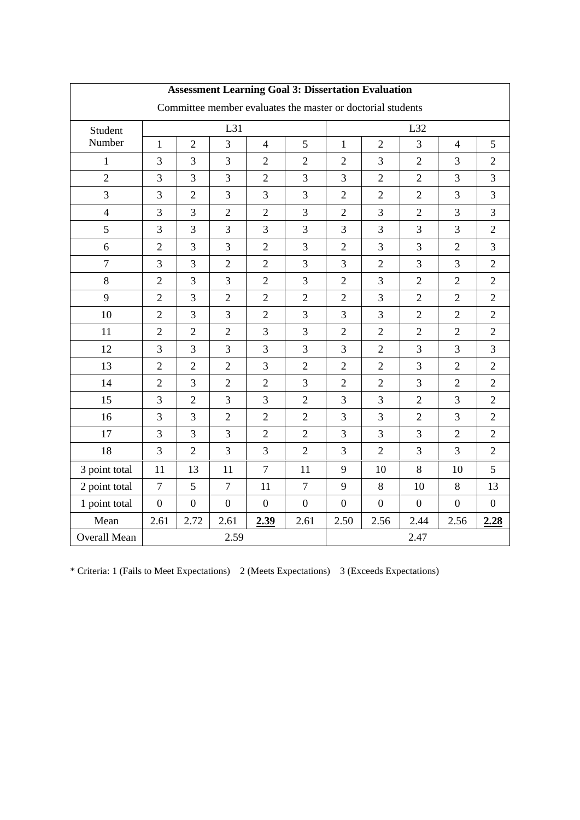| <b>Assessment Learning Goal 3: Dissertation Evaluation</b> |                |                |                  |                |                                                             |                  |                  |                |                  |                  |
|------------------------------------------------------------|----------------|----------------|------------------|----------------|-------------------------------------------------------------|------------------|------------------|----------------|------------------|------------------|
|                                                            |                |                |                  |                | Committee member evaluates the master or doctorial students |                  |                  |                |                  |                  |
| Student                                                    |                |                | L31              |                |                                                             |                  | L32              |                |                  |                  |
| Number                                                     | $\mathbf{1}$   | $\overline{2}$ | 3                | $\overline{4}$ | 5                                                           | $\mathbf{1}$     | $\overline{2}$   | 3              | $\overline{4}$   | 5                |
| $\mathbf{1}$                                               | $\overline{3}$ | 3              | 3                | $\overline{2}$ | $\overline{2}$                                              | $\overline{2}$   | $\overline{3}$   | $\overline{2}$ | 3                | $\overline{2}$   |
| $\sqrt{2}$                                                 | 3              | 3              | 3                | $\overline{2}$ | 3                                                           | 3                | $\overline{2}$   | $\overline{2}$ | $\overline{3}$   | 3                |
| $\overline{3}$                                             | 3              | $\overline{2}$ | 3                | 3              | 3                                                           | $\overline{2}$   | $\overline{2}$   | $\overline{2}$ | 3                | $\overline{3}$   |
| $\overline{4}$                                             | 3              | $\overline{3}$ | $\overline{2}$   | $\overline{2}$ | 3                                                           | $\sqrt{2}$       | $\overline{3}$   | $\overline{2}$ | $\overline{3}$   | $\overline{3}$   |
| 5                                                          | 3              | 3              | $\overline{3}$   | 3              | 3                                                           | 3                | $\overline{3}$   | $\overline{3}$ | $\overline{3}$   | $\overline{2}$   |
| 6                                                          | $\overline{2}$ | $\overline{3}$ | $\overline{3}$   | $\overline{2}$ | 3                                                           | $\overline{2}$   | $\overline{3}$   | $\overline{3}$ | $\overline{2}$   | $\overline{3}$   |
| $\boldsymbol{7}$                                           | 3              | 3              | $\overline{2}$   | $\overline{2}$ | 3                                                           | 3                | $\overline{2}$   | 3              | 3                | $\overline{2}$   |
| 8                                                          | $\overline{2}$ | $\overline{3}$ | $\overline{3}$   | $\overline{2}$ | 3                                                           | $\overline{2}$   | 3                | $\overline{2}$ | $\overline{2}$   | $\overline{2}$   |
| 9                                                          | $\overline{2}$ | $\overline{3}$ | $\overline{2}$   | $\overline{2}$ | $\overline{2}$                                              | $\overline{2}$   | $\overline{3}$   | $\overline{2}$ | $\overline{2}$   | $\overline{2}$   |
| 10                                                         | $\overline{2}$ | $\overline{3}$ | 3                | $\overline{2}$ | 3                                                           | 3                | $\overline{3}$   | $\overline{2}$ | $\overline{2}$   | $\overline{2}$   |
| 11                                                         | $\overline{2}$ | $\overline{2}$ | $\overline{2}$   | 3              | 3                                                           | $\overline{2}$   | $\overline{2}$   | $\overline{2}$ | $\overline{2}$   | $\overline{2}$   |
| 12                                                         | 3              | 3              | 3                | 3              | 3                                                           | 3                | $\overline{2}$   | 3              | 3                | 3                |
| 13                                                         | $\overline{2}$ | $\overline{2}$ | $\overline{2}$   | $\overline{3}$ | $\overline{2}$                                              | $\mathfrak{2}$   | $\overline{2}$   | $\overline{3}$ | $\overline{2}$   | $\overline{2}$   |
| 14                                                         | $\overline{2}$ | 3              | $\overline{2}$   | $\overline{2}$ | 3                                                           | $\overline{2}$   | $\overline{2}$   | $\overline{3}$ | $\overline{2}$   | $\overline{2}$   |
| 15                                                         | 3              | $\overline{2}$ | $\overline{3}$   | 3              | $\overline{2}$                                              | 3                | $\overline{3}$   | $\overline{2}$ | 3                | $\overline{2}$   |
| 16                                                         | $\overline{3}$ | 3              | $\overline{2}$   | $\overline{2}$ | $\overline{2}$                                              | 3                | 3                | $\overline{2}$ | $\overline{3}$   | $\overline{2}$   |
| 17                                                         | 3              | 3              | $\overline{3}$   | $\overline{2}$ | $\overline{2}$                                              | 3                | $\overline{3}$   | $\overline{3}$ | $\overline{2}$   | $\overline{2}$   |
| 18                                                         | 3              | $\overline{2}$ | 3                | 3              | $\overline{2}$                                              | 3                | $\overline{2}$   | 3              | $\overline{3}$   | $\overline{2}$   |
| 3 point total                                              | 11             | 13             | 11               | $\overline{7}$ | 11                                                          | 9                | 10               | 8              | 10               | 5                |
| 2 point total                                              | $\overline{7}$ | 5              | $\overline{7}$   | 11             | $\overline{7}$                                              | 9                | $\,8\,$          | 10             | 8                | 13               |
| 1 point total                                              | $\overline{0}$ | $\overline{0}$ | $\boldsymbol{0}$ | $\overline{0}$ | $\boldsymbol{0}$                                            | $\boldsymbol{0}$ | $\boldsymbol{0}$ | $\overline{0}$ | $\boldsymbol{0}$ | $\boldsymbol{0}$ |
| Mean                                                       | 2.61           | 2.72           | 2.61             | 2.39           | 2.61                                                        | 2.50             | 2.56             | 2.44           | 2.56             | 2.28             |
| Overall Mean                                               |                | 2.59           |                  |                |                                                             |                  | 2.47             |                |                  |                  |

## **Assessment Learning Goal 3: Dissertation Evaluation**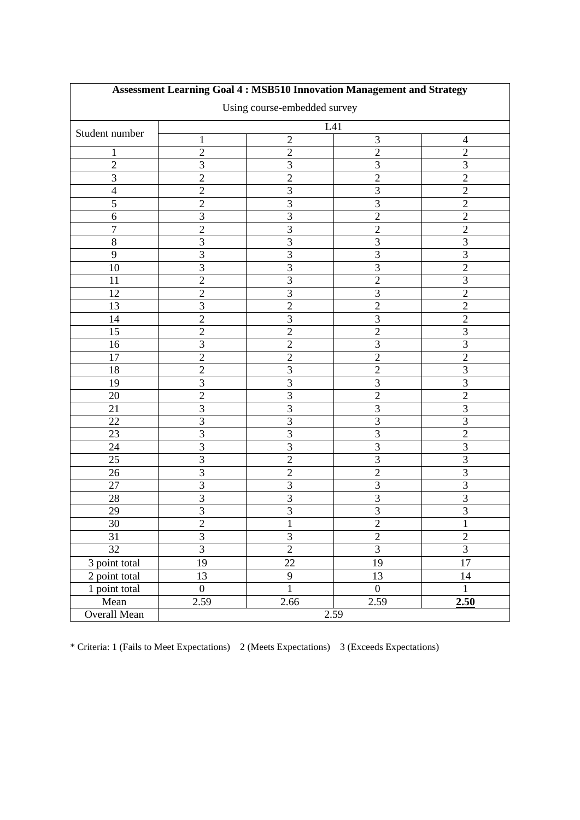| <b>Assessment Learning Goal 4: MSB510 Innovation Management and Strategy</b> |                  |                |                         |                |  |  |  |  |  |
|------------------------------------------------------------------------------|------------------|----------------|-------------------------|----------------|--|--|--|--|--|
| Using course-embedded survey                                                 |                  |                |                         |                |  |  |  |  |  |
| L41                                                                          |                  |                |                         |                |  |  |  |  |  |
| Student number                                                               | $\mathbf{1}$     | $\sqrt{2}$     | 3                       | $\overline{4}$ |  |  |  |  |  |
| 1                                                                            | $\overline{2}$   | $\sqrt{2}$     | $\sqrt{2}$              | $\mathbf{2}$   |  |  |  |  |  |
| $\overline{2}$                                                               | 3                | 3              | $\overline{3}$          | $\overline{3}$ |  |  |  |  |  |
| 3                                                                            | $\overline{2}$   | $\mathbf{2}$   | $\overline{c}$          | $\sqrt{2}$     |  |  |  |  |  |
| $\overline{4}$                                                               | $\overline{c}$   | 3              | $\overline{3}$          | $\overline{2}$ |  |  |  |  |  |
| $\overline{5}$                                                               | $\overline{2}$   | $\overline{3}$ | $\overline{3}$          | $\overline{2}$ |  |  |  |  |  |
| 6                                                                            | $\overline{3}$   | $\overline{3}$ | $\overline{2}$          | $\overline{2}$ |  |  |  |  |  |
| $\overline{7}$                                                               | $\overline{2}$   | $\overline{3}$ | $\overline{2}$          | $\overline{2}$ |  |  |  |  |  |
| 8                                                                            | 3                | 3              | 3                       | $\mathfrak{Z}$ |  |  |  |  |  |
| 9                                                                            | 3                | 3              | $\overline{3}$          | $\overline{3}$ |  |  |  |  |  |
| 10                                                                           | 3                | $\overline{3}$ | $\overline{3}$          | $\overline{2}$ |  |  |  |  |  |
| 11                                                                           | $\overline{2}$   | $\overline{3}$ | $\overline{2}$          | $\overline{3}$ |  |  |  |  |  |
| 12                                                                           | $\overline{c}$   | 3              | $\overline{3}$          | $\overline{2}$ |  |  |  |  |  |
| 13                                                                           | 3                | $\overline{2}$ | $\overline{2}$          | $\overline{2}$ |  |  |  |  |  |
| 14                                                                           | $\overline{c}$   | 3              | 3                       | $\overline{2}$ |  |  |  |  |  |
| $\overline{15}$                                                              | $\overline{2}$   | $\overline{2}$ | $\overline{2}$          | $\overline{3}$ |  |  |  |  |  |
| 16                                                                           | 3                | $\overline{2}$ | $\overline{3}$          | $\mathfrak{Z}$ |  |  |  |  |  |
| 17                                                                           | $\overline{2}$   | $\overline{2}$ | $\overline{c}$          | $\overline{2}$ |  |  |  |  |  |
| 18                                                                           | $\overline{c}$   | 3              | $\overline{c}$          | 3              |  |  |  |  |  |
| 19                                                                           | 3                | 3              | 3                       | 3              |  |  |  |  |  |
| 20                                                                           | $\overline{c}$   | $\overline{3}$ | $\overline{2}$          | $\overline{2}$ |  |  |  |  |  |
| 21                                                                           | $\overline{3}$   | $\overline{3}$ | $\overline{3}$          | $\overline{3}$ |  |  |  |  |  |
| 22                                                                           | $\overline{3}$   | $\overline{3}$ | $\overline{3}$          | $\overline{3}$ |  |  |  |  |  |
| 23                                                                           | 3                | 3              | $\overline{3}$          | $\overline{2}$ |  |  |  |  |  |
| 24                                                                           | $\overline{3}$   | $\overline{3}$ | $\overline{3}$          | $\overline{3}$ |  |  |  |  |  |
| 25                                                                           | 3                | $\overline{2}$ | 3                       | 3              |  |  |  |  |  |
| 26                                                                           | 3                | $\overline{2}$ | $\overline{2}$          | $\overline{3}$ |  |  |  |  |  |
| 27                                                                           | $\overline{3}$   | $\overline{3}$ | $\overline{3}$          | $\overline{3}$ |  |  |  |  |  |
| 28                                                                           | 3                | 3              | $\overline{3}$          | 3              |  |  |  |  |  |
| 29                                                                           | $\overline{3}$   | 3              | $\overline{3}$          | 3              |  |  |  |  |  |
| 30                                                                           | $\overline{c}$   | $\mathbf{1}$   | $\overline{\mathbf{c}}$ | $\mathbf{1}$   |  |  |  |  |  |
| $\overline{31}$                                                              | $\overline{3}$   | $\overline{3}$ | $\overline{2}$          | $\overline{2}$ |  |  |  |  |  |
| 32                                                                           | $\overline{3}$   | $\overline{2}$ | $\overline{3}$          | $\overline{3}$ |  |  |  |  |  |
| 3 point total                                                                | 19               | 22             | 19                      | 17             |  |  |  |  |  |
| 2 point total                                                                | 13               | 9              | 13                      | 14             |  |  |  |  |  |
| 1 point total                                                                | $\boldsymbol{0}$ | $\mathbf{1}$   | $\boldsymbol{0}$        | 1              |  |  |  |  |  |
| Mean                                                                         | 2.59             | 2.66           | 2.59                    | 2.50           |  |  |  |  |  |
| Overall Mean                                                                 | 2.59             |                |                         |                |  |  |  |  |  |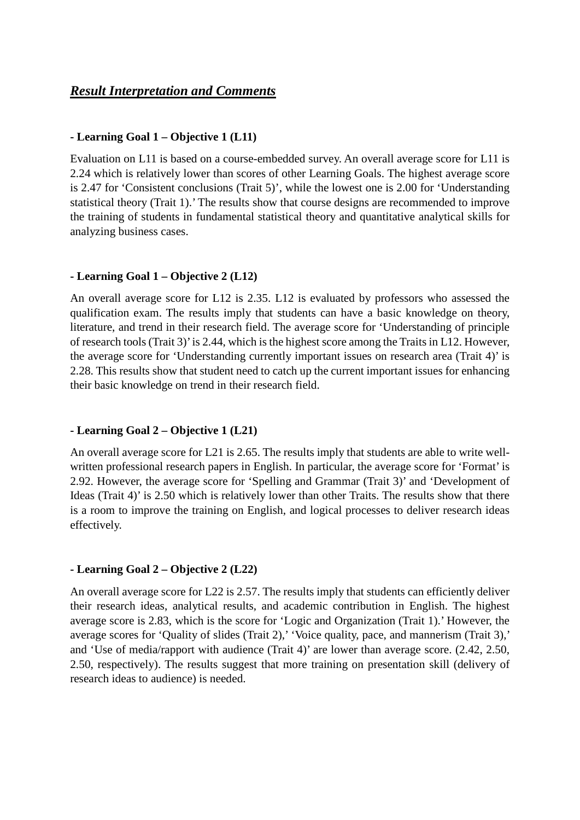### *Result Interpretation and Comments*

#### **- Learning Goal 1 – Objective 1 (L11)**

Evaluation on L11 is based on a course-embedded survey. An overall average score for L11 is 2.24 which is relatively lower than scores of other Learning Goals. The highest average score is 2.47 for 'Consistent conclusions (Trait 5)', while the lowest one is 2.00 for 'Understanding statistical theory (Trait 1).' The results show that course designs are recommended to improve the training of students in fundamental statistical theory and quantitative analytical skills for analyzing business cases.

#### **- Learning Goal 1 – Objective 2 (L12)**

An overall average score for L12 is 2.35. L12 is evaluated by professors who assessed the qualification exam. The results imply that students can have a basic knowledge on theory, literature, and trend in their research field. The average score for 'Understanding of principle of research tools (Trait 3)' is 2.44, which is the highest score among the Traits in L12. However, the average score for 'Understanding currently important issues on research area (Trait 4)' is 2.28. This results show that student need to catch up the current important issues for enhancing their basic knowledge on trend in their research field.

#### **- Learning Goal 2 – Objective 1 (L21)**

An overall average score for L21 is 2.65. The results imply that students are able to write wellwritten professional research papers in English. In particular, the average score for 'Format' is 2.92. However, the average score for 'Spelling and Grammar (Trait 3)' and 'Development of Ideas (Trait 4)' is 2.50 which is relatively lower than other Traits. The results show that there is a room to improve the training on English, and logical processes to deliver research ideas effectively.

#### **- Learning Goal 2 – Objective 2 (L22)**

An overall average score for L22 is 2.57. The results imply that students can efficiently deliver their research ideas, analytical results, and academic contribution in English. The highest average score is 2.83, which is the score for 'Logic and Organization (Trait 1).' However, the average scores for 'Quality of slides (Trait 2),' 'Voice quality, pace, and mannerism (Trait 3),' and 'Use of media/rapport with audience (Trait 4)' are lower than average score. (2.42, 2.50, 2.50, respectively). The results suggest that more training on presentation skill (delivery of research ideas to audience) is needed.